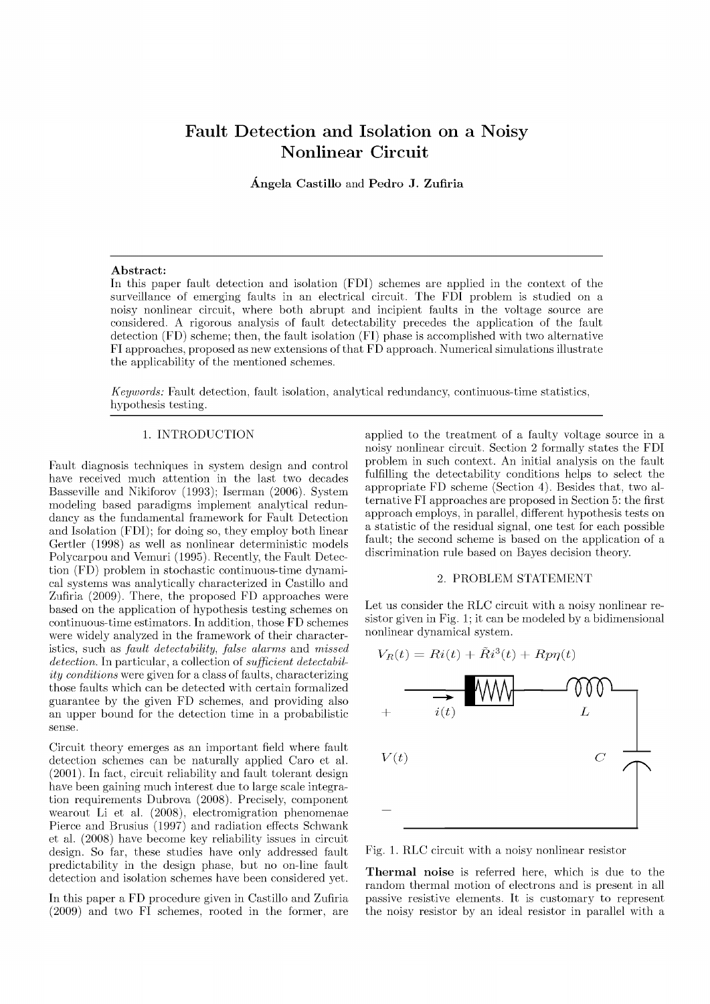# Fault Detection and Isolation on a Noisy Nonlinear Circuit

**Angel a Castillo** and **Pedr o J. Zufiria** 

### **Abstract:**

In this paper fault detection and isolation (FDI) schemes are applied in the context of the surveillance of emerging faults in an electrical circuit. The FDI problem is studied on a noisy nonlinear circuit, where both abrupt and incipient faults in the voltage source are considered. A rigorous analysis of fault detectability precedes the application of the fault detection (FD) scheme; then, the fault isolation (FI) phase is accomplished with two alternative FI approaches, proposed as new extensions of tha t FD approach. Numerical simulations illustrate the applicability of the mentioned schemes.

*Keywords:* Fault detection, fault isolation, analytical redundancy, continuous-time statistics, hypothesis testing.

# 1. INTRODUCTION

Fault diagnosis techniques in system design and control have received much attention in the last two decades Basseville and Nikiforov (1993); Iserman (2006). System modeling based paradigms implement analytical redundancy as the fundamental framework for Fault Detection and Isolation (FDI); for doing so, they employ both linear Gertler (1998) as well as nonlinear deterministic models Polycarpou and Vemuri (1995). Recently, the Fault Detection (FD) problem in stochastic continuous-time dynamical systems was analytically characterized in Castillo and Zufiria (2009). There, the proposed FD approaches were based on the application of hypothesis testing schemes on continuous-time estimators. In addition, those FD schemes were widely analyzed in the framework of their characteristics, such as *fault detectability, false alarms* and *missed detection.* In particular, a collection of *sufficient detectability conditions* were given for a class of faults, characterizing those faults which can be detected with certain formalized guarantee by the given FD schemes, and providing also an upper bound for the detection time in a probabilistic sense.

Circuit theory emerges as an important field where fault detection schemes can be naturally applied Caro et al. (2001). In fact, circuit reliability and fault tolerant design have been gaining much interest due to large scale integration requirements Dubrova (2008). Precisely, component wearout Li et al. (2008), electromigration phenomenae Pierce and Brusius (1997) and radiation effects Schwank et al. (2008) have become key reliability issues in circuit design. So far, these studies have only addressed fault predictability in the design phase, but no on-line fault detection and isolation schemes have been considered yet.

In this paper a FD procedure given in Castillo and Zufiria (2009) and two FI schemes, rooted in the former, are

applied to the treatment of a faulty voltage source in a noisy nonlinear circuit. Section 2 formally states the FDI problem in such context. An initial analysis on the fault fulfilling the detectability conditions helps to select the appropriate FD scheme (Section 4). Besides that, two alternative FI approaches are proposed in Section 5: the first approach employs, in parallel, different hypothesis tests on a statistic of the residual signal, one test for each possible fault; the second scheme is based on the application of a discrimination rule based on Bayes decision theory.

#### 2. PROBLEM STATEMENT

Let us consider the RLC circuit with a noisy nonlinear resistor given in Fig. 1; it can be modeled by a bidimensional nonlinear dynamical system.



Fig. 1. RLC circuit with a noisy nonlinear resistor

**Thermal noise** is referred here, which is due to the random thermal motion of electrons and is present in all passive resistive elements. It is customary to represent the noisy resistor by an ideal resistor in parallel with a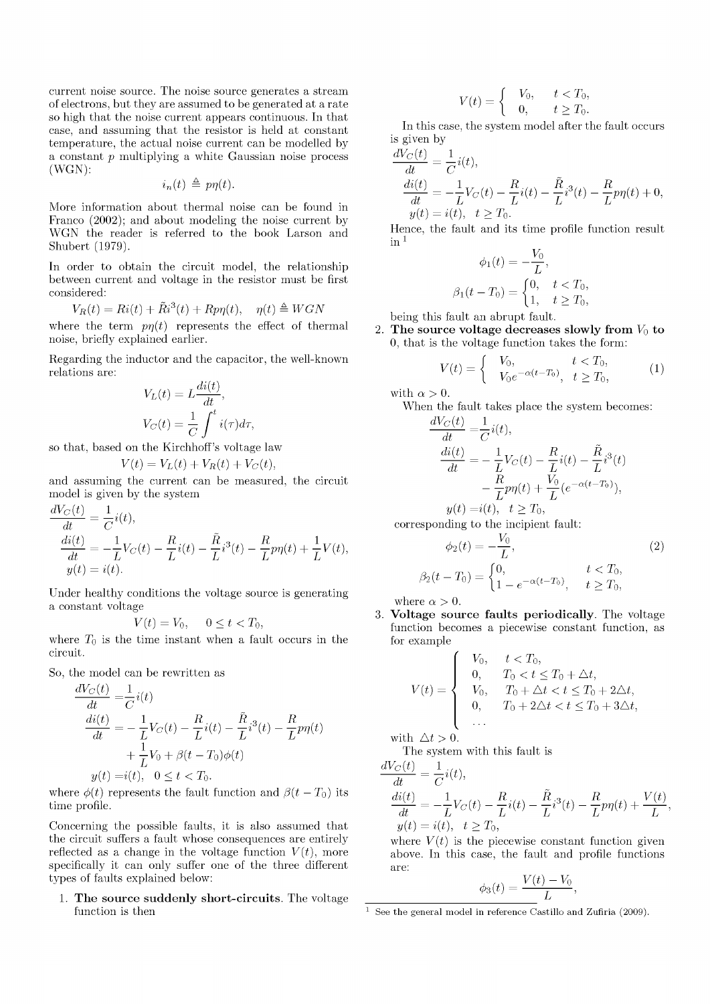current noise source. The noise source generates a stream of electrons, but they are assumed to be generated at a rate so high that the noise current appears continuous. In that case, and assuming that the resistor is held at constant temperature, the actual noise current can be modelled by a constant *p* multiplying a white Gaussian noise process (WGN):

$$
i_n(t) \triangleq p\eta(t).
$$

More information about thermal noise can be found in Franco (2002); and about modeling the noise current by WGN the reader is referred to the book Larson and Shubert (1979).

In order to obtain the circuit model, the relationship between current and voltage in the resistor must be first considered:

$$
V_R(t) = Ri(t) + \tilde{R}i^3(t) + Rp\eta(t), \quad \eta(t) \triangleq WGN
$$

where the term  $p\eta(t)$  represents the effect of thermal noise, briefly explained earlier.

Regarding the inductor and the capacitor, the well-known relations are: *di(t)* 

$$
V_L(t) = L \frac{di(t)}{dt},
$$
  

$$
V_C(t) = \frac{1}{C} \int_0^t i(\tau) d\tau
$$

so that, based on the Kirchhoff's voltage law

$$
V(t) = V_L(t) + V_R(t) + V_C(t),
$$

and assuming the current can be measured, the circuit model is given by the system

$$
\frac{dV_C(t)}{dt} = \frac{1}{C}i(t),
$$
\n
$$
\frac{di(t)}{dt} = -\frac{1}{L}V_C(t) - \frac{R}{L}i(t) - \frac{\tilde{R}}{L}i^3(t) - \frac{R}{L}p\eta(t) + \frac{1}{L}V(t),
$$
\n
$$
y(t) = i(t).
$$

Under healthy conditions the voltage source is generating a constant voltage

$$
V(t) = V_0, \quad 0 \le t < T_0,
$$

where  $T_0$  is the time instant when a fault occurs in the circuit.

So, the model can be rewritten as

$$
\frac{dV_C(t)}{dt} = \frac{1}{C}i(t) \n\frac{di(t)}{dt} = -\frac{1}{L}V_C(t) - \frac{R}{L}i(t) - \frac{\tilde{R}}{L}i^3(t) - \frac{R}{L}p\eta(t) \n+ \frac{1}{L}V_0 + \beta(t - T_0)\phi(t) \ny(t) = i(t), \quad 0 \le t < T_0.
$$

where  $\phi(t)$  represents the fault function and  $\beta(t - T_0)$  its time profile.

Concerning the possible faults, it is also assumed that the circuit suffers a fault whose consequences are entirely reflected as a change in the voltage function  $V(t)$ , more specifically it can only suffer one of the three different types of faults explained below:

**1. The source suddenly short-circuits.** The voltage function is then

$$
V(t) = \begin{cases} V_0, & t < T_0, \\ 0, & t \ge T_0. \end{cases}
$$

In this case, the system model after the fault occurs is given by

$$
\frac{dV_C(t)}{dt} = \frac{1}{C}i(t),
$$
\n
$$
\frac{di(t)}{dt} = -\frac{1}{L}V_C(t) - \frac{R}{L}i(t) - \frac{\tilde{R}}{L}i^3(t) - \frac{R}{L}p\eta(t) + 0,
$$
\n
$$
y(t) = i(t), \quad t \ge T_0.
$$

Hence, the fault and its time profile function result in  *1* 

$$
\phi_1(t) = -\frac{V_0}{L},
$$
  

$$
\beta_1(t - T_0) = \begin{cases} 0, & t < T_0, \\ 1, & t \ge T_0, \end{cases}
$$

being this fault an abrupt fault.

2. The source voltage decreases slowly from  $V_0$  to 0, that is the voltage function takes the form:

$$
V(t) = \begin{cases} V_0, & t < T_0, \\ V_0 e^{-\alpha(t - T_0)}, & t \ge T_0, \end{cases}
$$
 (1)

with  $\alpha > 0$ .

When the fault takes place the system becomes:  $dV_C(t) = 1$ 

$$
\frac{dE(t)}{dt} = \frac{1}{C}i(t),
$$
\n
$$
\frac{di(t)}{dt} = -\frac{1}{L}V_C(t) - \frac{R}{L}i(t) - \frac{\tilde{R}}{L}i^3(t)
$$
\n
$$
-\frac{R}{L}p\eta(t) + \frac{V_0}{L}(e^{-\alpha(t-T_0)}),
$$
\n
$$
y(t) = i(t), \quad t \ge T_0,
$$

corresponding to the incipient fault:

$$
\phi_2(t) = -\frac{V_0}{L},
$$
\n
$$
\beta_2(t - T_0) = \begin{cases}\n0, & t < T_0, \\
1 - e^{-\alpha(t - T_0)}, & t \ge T_0,\n\end{cases}
$$
\n(2)

where  $\alpha > 0$ .

3. **Voltage source faults periodically.** The voltage function becomes a piecewise constant function, as for example

$$
V(t) = \begin{cases} V_0, & t < T_0, \\ 0, & T_0 < t \le T_0 + \Delta t, \\ V_0, & T_0 + \Delta t < t \le T_0 + 2\Delta t, \\ 0, & T_0 + 2\Delta t < t \le T_0 + 3\Delta t, \\ \dots \end{cases}
$$

with  $\Delta t > 0$ .

The system with this fault is  $\frac{1}{1}$ 

$$
\frac{dV_C(t)}{dt} = \frac{1}{C}i(t),
$$
  
\n
$$
\frac{di(t)}{dt} = -\frac{1}{L}V_C(t) - \frac{R}{L}i(t) - \frac{\tilde{R}}{L}i^3(t) - \frac{R}{L}p\eta(t) + \frac{V(t)}{L}
$$
  
\n
$$
y(t) = i(t), \quad t \ge T_0,
$$

where  $V(t)$  is the piecewise constant function given above. In this case, the fault and profile functions are:

$$
\phi_3(t) = \frac{V(t) - V_0}{L},
$$

<sup>&</sup>lt;sup>1</sup> See the general model in reference Castillo and Zufiria (2009).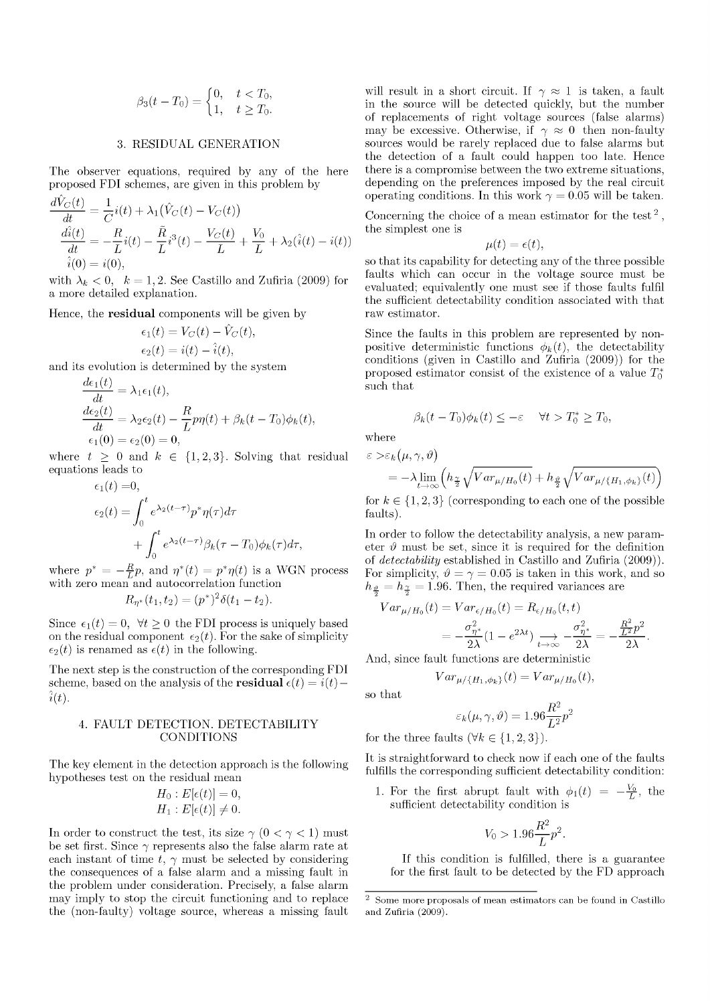$$
\beta_3(t - T_0) = \begin{cases} 0, & t < T_0, \\ 1, & t \ge T_0. \end{cases}
$$

# 3. RESIDUAL GENERATION

The observer equations, required by any of the here proposed FDI schemes, are given in this problem by

$$
\frac{d\hat{V}_C(t)}{dt} = \frac{1}{C}i(t) + \lambda_1(\hat{V}_C(t) - V_C(t))
$$
\n
$$
\frac{d\hat{i}(t)}{dt} = -\frac{R}{L}i(t) - \frac{\tilde{R}}{L}i^3(t) - \frac{V_C(t)}{L} + \frac{V_0}{L} + \lambda_2(\hat{i}(t) - i(t))
$$
\n
$$
\hat{i}(0) = i(0),
$$

with  $\lambda_k < 0, \; k = 1, 2$ . See Castillo and Zufiria (2009) for a more detailed explanation.

Hence, the **residual** components will be given by

$$
\epsilon_1(t) = V_C(t) - \hat{V}_C(t),
$$
  

$$
\epsilon_2(t) = i(t) - \hat{i}(t),
$$

and its evolution is determined by the system

$$
\begin{aligned}\n\frac{d\epsilon_1(t)}{dt} &= \lambda_1 \epsilon_1(t), \\
\frac{d\epsilon_2(t)}{dt} &= \lambda_2 \epsilon_2(t) - \frac{R}{L} p\eta(t) + \beta_k(t - T_0)\phi_k(t), \\
\epsilon_1(0) &= \epsilon_2(0) = 0,\n\end{aligned}
$$

where  $t \geq 0$  and  $k \in \{1,2,3\}$ . Solving that residual equations leads to  $\overline{a}$ 

$$
\epsilon_1(t) = 0,
$$
  
\n
$$
\epsilon_2(t) = \int_0^t e^{\lambda_2(t-\tau)} p^* \eta(\tau) d\tau
$$
  
\n
$$
+ \int_0^t e^{\lambda_2(t-\tau)} \beta_k(\tau - T_0) \phi_k(\tau) d\tau,
$$

where  $p^* = -\frac{R}{L}p$ , and  $\eta^*(t) = p^*\eta(t)$  is a WGN process with zero mean and autocorrelation function

$$
R_{\eta^*}(t_1, t_2) = (p^*)^2 \delta(t_1 - t_2).
$$

Since  $\epsilon_1(t) = 0$ ,  $\forall t \geq 0$  the FDI process is uniquely based on the residual component  $\epsilon_2(t)$ . For the sake of simplicity  $\epsilon_2(t)$  is renamed as  $\epsilon(t)$  in the following.

The next step is the construction of the corresponding FDI scheme, based on the analysis of the **residual**  $\epsilon(t) = i(t)$  $\hat{i}(t)$ .

# 4. FAULT DETECTION. DETECTABILITY CONDITIONS

The key element in the detection approach is the following hypotheses test on the residual mean

$$
H_0: E[\epsilon(t)] = 0,
$$
  

$$
H_1: E[\epsilon(t)] \neq 0.
$$

In order to construct the test, its size  $\gamma$  (0 <  $\gamma$  < 1) must be set first. Since  $\gamma$  represents also the false alarm rate at each instant of time  $t, \, \gamma$  must be selected by considering the consequences of a false alarm and a missing fault in the problem under consideration. Precisely, a false alarm may imply to stop the circuit functioning and to replace the (non-faulty) voltage source, whereas a missing fault

will result in a short circuit. If  $\gamma \approx 1$  is taken, a fault in the source will be detected quickly, but the number of replacements of right voltage sources (false alarms) may be excessive. Otherwise, if  $\gamma \approx 0$  then non-faulty sources would be rarely replaced due to false alarms but the detection of a fault could happen too late. Hence there is a compromise between the two extreme situations, depending on the preferences imposed by the real circuit operating conditions. In this work  $\gamma = 0.05$  will be taken.

Concerning the choice of a mean estimator for the test<sup>2</sup>, the simplest one is

$$
\mu(t) = \epsilon(t),
$$

so that its capability for detecting any of the three possible faults which can occur in the voltage source must be evaluated; equivalently one must see if those faults fulfil the sufficient detectability condition associated with that raw estimator.

Since the faults in this problem are represented by nonpositive deterministic functions  $\phi_k(t)$ , the detectability conditions (given in Castillo and Zufiria (2009)) for the proposed estimator consist of the existence of a value  $T_0^*$ such that

$$
\beta_k(t - T_0)\phi_k(t) \le -\varepsilon \quad \forall t > T_0^* \ge T_0,
$$

where  $\varepsilon > \varepsilon_k(\mu, \gamma, \vartheta)$ 

$$
=-\lambda\lim_{t\to\infty}\Big(h_{\frac{\gamma}{2}}\sqrt{Var_{\mu/H_0}(t)}+h_{\frac{\vartheta}{2}}\sqrt{Var_{\mu/\{H_1,\phi_k\}}(t)}\Big)
$$

for  $k \in \{1, 2, 3\}$  (corresponding to each one of the possible faults).

In order to follow the detectability analysis, a new parameter  $\vartheta$  must be set, since it is required for the definition of *detectability* established in Castillo and Zufiria (2009)). For simplicity,  $\vartheta = \gamma = 0.05$  is taken in this work, and so  $h_{\frac{\vartheta}{2}} = h_{\frac{\gamma}{2}} = 1.96$ . Then, the required variances are

$$
Var_{\mu/H_0}(t) = Var_{\epsilon/H_0}(t) = R_{\epsilon/H_0}(t, t)
$$
  
=  $-\frac{\sigma_{\eta^*}^2}{2\lambda}(1 - e^{2\lambda t}) \xrightarrow[t \to \infty]{} -\frac{\sigma_{\eta^*}^2}{2\lambda} = -\frac{R^2}{2\lambda}.$ 

And, since fault functions are deterministic

$$
Var_{\mu/\{H_1,\phi_k\}}(t) = Var_{\mu/H_0}(t),
$$

so that

$$
\varepsilon_k(\mu, \gamma, \vartheta) = 1.96 \frac{R^2}{L^2} p^2
$$

for the three faults  $(\forall k \in \{1, 2, 3\})$ .

It is straightforward to check now if each one of the faults fulfills the corresponding sufficient detectability condition:

1. For the first abrupt fault with  $\phi_1(t) = -\frac{v_0}{L}$ , the sufficient detectability condition is

$$
V_0 > 1.96 \frac{R^2}{L} p^2.
$$

If this condition is fulfilled, there is a guarantee for the first fault to be detected by the FD approach

<sup>2</sup> Some more proposals of mean estimators can be found in Castillo and Zufiria (2009).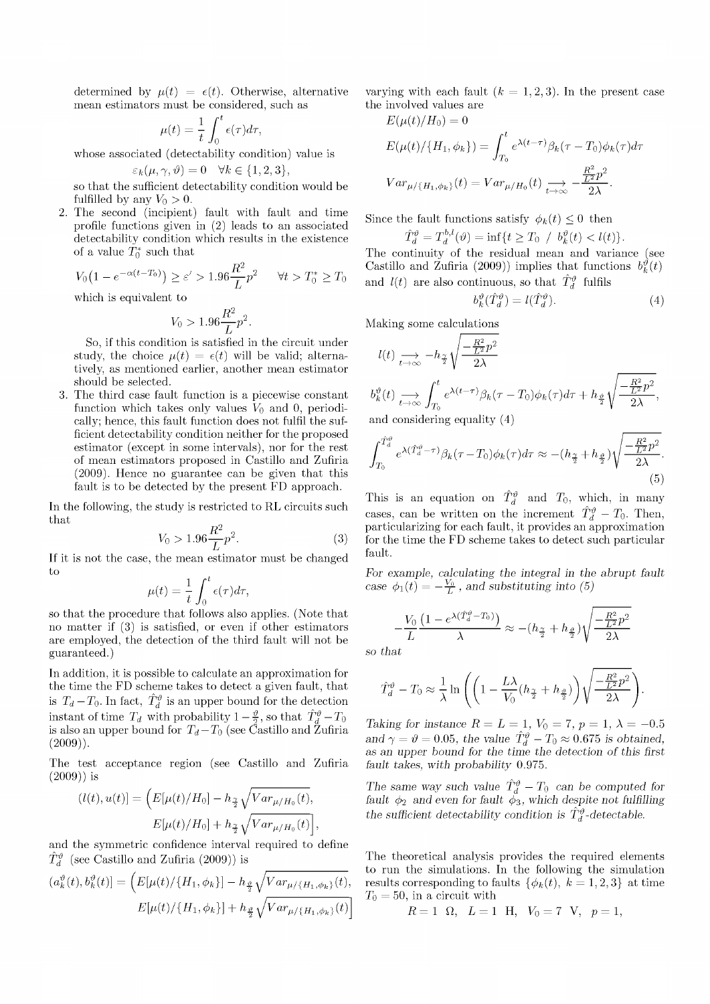determined by  $\mu(t) = \epsilon(t)$ . Otherwise, alternative mean estimators must be considered, such as

$$
\mu(t) = \frac{1}{t} \int_0^t \epsilon(\tau) d\tau.
$$

whose associated (detectability condition) value is

$$
\varepsilon_k(\mu, \gamma, \vartheta) = 0 \quad \forall k \in \{1, 2, 3\},\
$$

so that the sufficient detectability condition would be fulfilled by any  $V_0 > 0$ .

2. The second (incipient) fault with fault and time profile functions given in (2) leads to an associated detectability condition which results in the existence of a value  $T_0^*$  such that

$$
V_0(1 - e^{-\alpha(t - T_0)}) \ge \varepsilon' > 1.96 \frac{R^2}{L} p^2 \quad \forall t > T_0^* \ge T_0
$$

which is equivalent to

$$
V_0 > 1.96 \frac{R^2}{L} p^2.
$$

So, if this condition is satisfied in the circuit under study, the choice  $\mu(t) = \epsilon(t)$  will be valid; alternatively, as mentioned earlier, another mean estimator should be selected.

3. The third case fault function is a piecewise constant function which takes only values  $V_0$  and 0, periodically; hence, this fault function does not fulfil the sufficient detectability condition neither for the proposed estimator (except in some intervals), nor for the rest of mean estimators proposed in Castillo and Zufiria (2009). Hence no guarantee can be given that this fault is to be detected by the present FD approach.

In the following, the study is restricted to RL circuits such that

$$
V_0 > 1.96 \frac{R^2}{L} p^2.
$$
 (3)

If it is not the case, the mean estimator must be changed to

$$
\mu(t) = \frac{1}{t} \int_0^t \epsilon(\tau) d\tau,
$$

so that the procedure that follows also applies. (Note that no matter if (3) is satisfied, or even if other estimators are employed, the detection of the third fault will not be guaranteed.)

In addition, it is possible to calculate an approximation for the time the FD scheme takes to detect a given fault, that is  $T_d - T_0$ . In fact,  $\hat{T}_d^{\vartheta}$  is an upper bound for the detection instant of time  $T_d$  with probability  $1-\frac{\vartheta}{2}$ , so that  $\hat{T}_d^{\vartheta}-T_0$ is also an upper bound for  $T_d - T_0$  (see Castillo and Zufiria  $(2009)$ ).

The test acceptance region (see Castillo and Zufiria (2009)) is

$$
(l(t), u(t)) = \left( E[\mu(t)/H_0] - h_{\frac{\gamma}{2}} \sqrt{Var_{\mu/H_0}(t)}, \right. \\
 E[\mu(t)/H_0] + h_{\frac{\gamma}{2}} \sqrt{Var_{\mu/H_0}(t)} \right),
$$

and the symmetric confidence interval required to define  $\hat{T}_{d}^{\theta}$  (see Castillo and Zufiria (2009)) is

$$
(a_k^{\vartheta}(t), b_k^{\vartheta}(t)] = \left( E[\mu(t)/\{H_1, \phi_k\}] - h_{\frac{\vartheta}{2}} \sqrt{Var_{\mu/\{H_1, \phi_k\}}(t)}, \right)
$$

$$
E[\mu(t)/\{H_1, \phi_k\}] + h_{\frac{\vartheta}{2}} \sqrt{Var_{\mu/\{H_1, \phi_k\}}(t)} \right)
$$

varying with each fault  $(k = 1, 2, 3)$ . In the present case the involved values are

$$
E(\mu(t)/H_0) = 0
$$
  
\n
$$
E(\mu(t)/\{H_1, \phi_k\}) = \int_{T_0}^t e^{\lambda(t-\tau)} \beta_k(\tau - T_0) \phi_k(\tau) d\tau
$$
  
\n
$$
Var_{\mu/\{H_1, \phi_k\}}(t) = Var_{\mu/H_0}(t) \xrightarrow[t \to \infty]{} -\frac{R^2}{2\lambda}P^2
$$

Since the fault functions satisfy  $\phi_k(t) \leq 0$  then

$$
\hat{T}_d^{\vartheta} = T_d^{b,l}(\vartheta) = \inf\{t \ge T_0 / b_k^{\vartheta}(t) < l(t)\}.
$$

The continuity of the residual mean and variance (see Castillo and Zufiria (2009)) implies that functions  $b_k^{\vartheta}(t)$ and  $l(t)$  are also continuous, so that  $\hat{T}_d^{\theta}$  fulfils

$$
b_k^{\vartheta}(\hat{T}_d^{\vartheta}) = l(\hat{T}_d^{\vartheta}).\tag{4}
$$

Making some calculations

$$
l(t) \longrightarrow_{t \to \infty} -h_{\frac{\alpha}{2}} \sqrt{\frac{-\frac{R^2}{L^2}p^2}{2\lambda}}
$$
  
\n
$$
b_k^{\vartheta}(t) \longrightarrow_{t \to \infty} \int_{T_0}^t e^{\lambda(t-\tau)} \beta_k(\tau - T_0) \phi_k(\tau) d\tau + h_{\frac{\vartheta}{2}} \sqrt{\frac{-\frac{R^2}{L^2}p^2}{2\lambda}},
$$
  
\nand considering equality (4)

and considering equality (4)

$$
\int_{T_0}^{\hat{T}_d^{\vartheta}} e^{\lambda(\hat{T}_d^{\vartheta} - \tau)} \beta_k(\tau - T_0) \phi_k(\tau) d\tau \approx -(h_{\frac{\gamma}{2}} + h_{\frac{\vartheta}{2}}) \sqrt{\frac{-\frac{R^2}{L^2} p^2}{2\lambda}}.
$$
\n(5)

This is an equation on  $\hat{T}_d^{\theta}$  and  $T_0$ , which, in many cases, can be written on the increment  $\hat{T}_d^{\vartheta} - T_0$ . Then, particularizing for each fault, it provides an approximation for the time the FD scheme takes to detect such particular fault.

*For example, calculating the integral in the abrupt fault case*  $\phi_1(t) = -\frac{V_0}{L}$ , and substituting into (5)

$$
-\frac{V_0}{L}\frac{\left(1-e^{\lambda(\hat{T}_d^{\vartheta}-T_0)}\right)}{\lambda} \approx -(h_{\frac{\gamma}{2}}+h_{\frac{\vartheta}{2}})\sqrt{\frac{-\frac{R^2}{L^2}p^2}{2\lambda}}
$$

*so that* 

$$
\hat{T}_d^{\vartheta} - T_0 \approx \frac{1}{\lambda} \ln \left( \left( 1 - \frac{L\lambda}{V_0} (h_{\frac{\gamma}{2}} + h_{\frac{\vartheta}{2}}) \right) \sqrt{\frac{-\frac{R^2}{L^2}p^2}{2\lambda}} \right)
$$

*Taking for instance*  $R = L = 1, V_0 = 7, p = 1, \lambda = -0.5$ and  $\gamma = \vartheta = 0.05$ , the value  $\hat{T}_{d}^{\vartheta} - T_0 \approx 0.675$  is obtained, as an upper bound for the time the detection of this first *fault takes, with probability* 0.975.

The same way such value  $T_d^{\theta} - T_0$  can be computed for  $\emph{fault $\phi_2$}$  and even for fault  $\phi_3,$  which despite not fulfilling the sufficient detectability condition is  $\hat{T}_d^{\vartheta}$ -detectable.

The theoretical analysis provides the required elements to run the simulations. In the following the simulation results corresponding to faults  $\{\phi_k(t), k = 1, 2, 3\}$  at time  $T_0 = 50$ , in a circuit with

$$
R=1
$$
  $\Omega$ ,  $L=1$  H,  $V_0=7$  V,  $p=1$ ,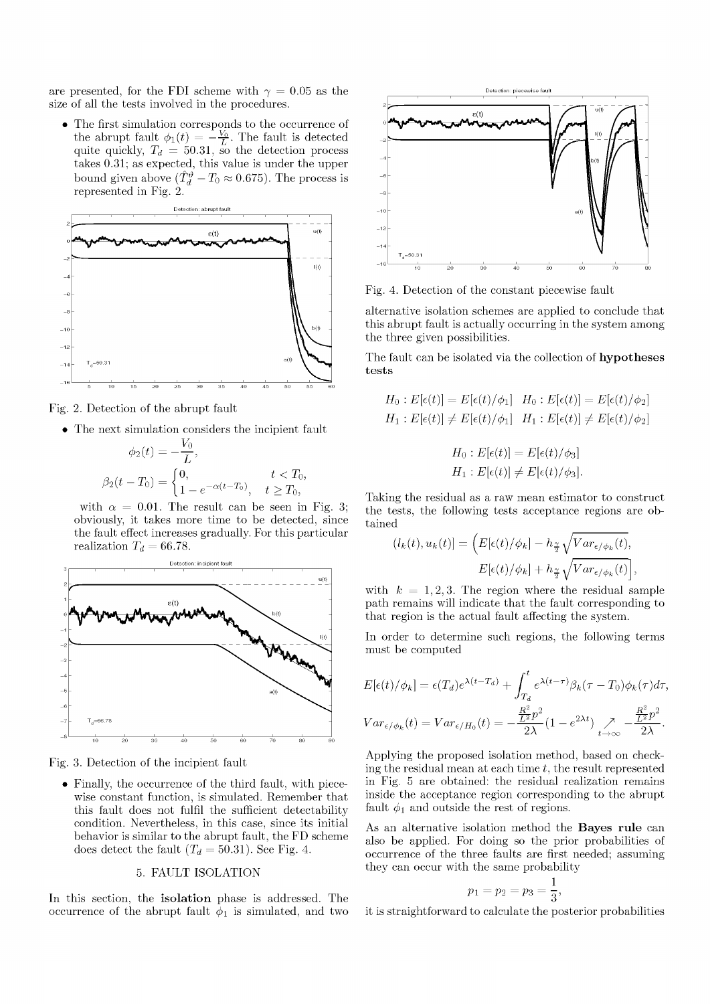are presented, for the FDI scheme with  $\gamma = 0.05$  as the size of all the tests involved in the procedures.

• The first simulation corresponds to the occurrence of the abrupt fault  $\phi_1(t) = - \frac{V_0}{L}$ . The fault is detected quite quickly,  $T_d = 50.31$ , so the detection process takes 0.31; as expected, this value is under the upper bound given above  $(\hat{T}_d^{\theta} - T_0 \approx 0.675)$ . The process is represented in Fig. 2.



Fig. 2. Detection of the abrupt fault

• The next simulation considers the incipient fault

$$
\phi_2(t) = -\frac{V_0}{L},
$$
  
\n
$$
\beta_2(t - T_0) = \begin{cases} 0, & t < T_0, \\ 1 - e^{-\alpha(t - T_0)}, & t \ge T_0, \end{cases}
$$

with  $\alpha = 0.01$ . The result can be seen in Fig. 3; obviously, it takes more time to be detected, since the fault effect increases gradually. For this particular realization  $T_d = 66.78$ .



Fig. 3. Detection of the incipient fault

• Finally, the occurrence of the third fault, with piecewise constant function, is simulated. Remember that this fault does not fulfil the sufficient detectability condition. Nevertheless, in this case, since its initial behavior is similar to the abrupt fault, the FD scheme does detect the fault  $(T_d = 50.31)$ . See Fig. 4.

# 5. FAULT ISOLATION

In this section, the **isolation** phase is addressed. The occurrence of the abrupt fault  $\phi_1$  is simulated, and two



Fig. 4. Detection of the constant piecewise fault

alternative isolation schemes are applied to conclude that this abrupt fault is actually occurring in the system among the three given possibilities.

The fault can be isolated via the collection of **hypothese s tests** 

$$
H_0: E[\epsilon(t)] = E[\epsilon(t)/\phi_1] \quad H_0: E[\epsilon(t)] = E[\epsilon(t)/\phi_2]
$$
  

$$
H_1: E[\epsilon(t)] \neq E[\epsilon(t)/\phi_1] \quad H_1: E[\epsilon(t)] \neq E[\epsilon(t)/\phi_2]
$$

$$
H_0: E[\epsilon(t)] = E[\epsilon(t)/\phi_3]
$$
  

$$
H_1: E[\epsilon(t)] \neq E[\epsilon(t)/\phi_3].
$$

Taking the residual as a raw mean estimator to construct the tests, the following tests acceptance regions are obtained

$$
(l_k(t), u_k(t)] = \left( E[\epsilon(t)/\phi_k] - h_{\frac{\gamma}{2}} \sqrt{Var_{\epsilon/\phi_k}(t)}, \right. \\
E[\epsilon(t)/\phi_k] + h_{\frac{\gamma}{2}} \sqrt{Var_{\epsilon/\phi_k}(t)} \right),
$$

with  $k = 1, 2, 3$ . The region where the residual sample path remains will indicate that the fault corresponding to that region is the actual fault affecting the system.

In order to determine such regions, the following terms must be computed

$$
E[\epsilon(t)/\phi_k] = \epsilon(T_d)e^{\lambda(t-T_d)} + \int_{T_d}^t e^{\lambda(t-\tau)}\beta_k(\tau - T_0)\phi_k(\tau)d\tau,
$$
  
\n
$$
Var_{\epsilon/\phi_k}(t) = Var_{\epsilon/H_0}(t) = -\frac{\frac{R^2}{L^2}p^2}{2\lambda}(1 - e^{2\lambda t})\sum_{t \to \infty}^{\infty} -\frac{\frac{R^2}{L^2}p^2}{2\lambda}.
$$

Applying the proposed isolation method, based on checking the residual mean at each time *t,* the result represented in Fig. 5 are obtained: the residual realization remains inside the acceptance region corresponding to the abrupt fault  $\phi_1$  and outside the rest of regions.

As an alternative isolation method the **Bayes rule** can also be applied. For doing so the prior probabilities of occurrence of the three faults are first needed; assuming they can occur with the same probability

$$
p_1 = p_2 = p_3 = \frac{1}{3},
$$

it is straightforward to calculate the posterior probabilities